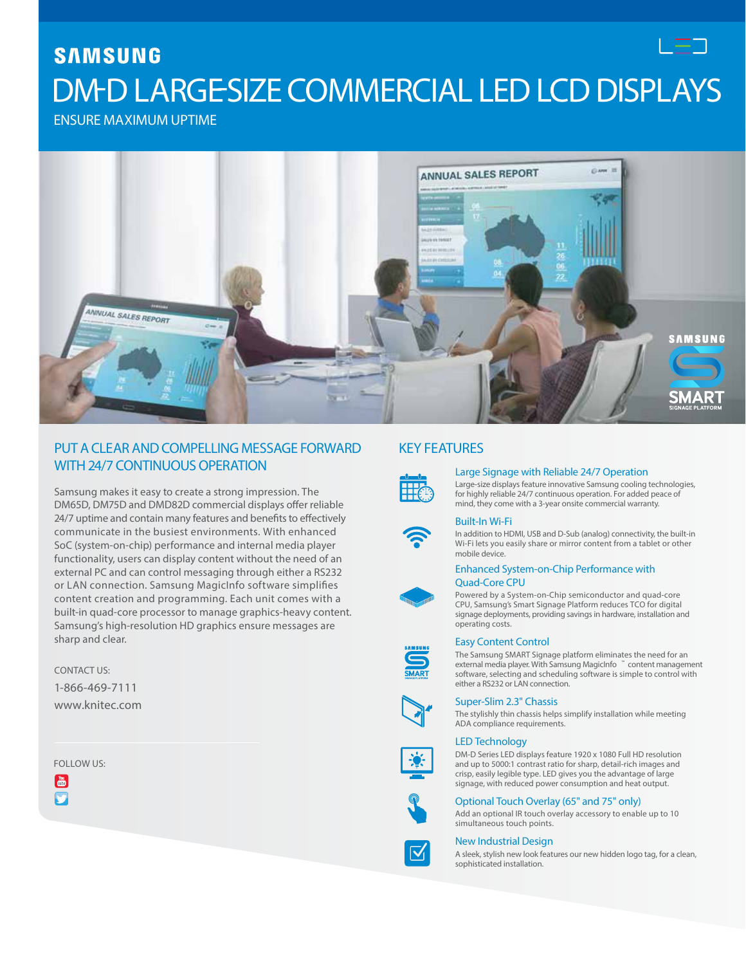# **SAMSUNG** DM-D LARGE-SIZE COMMERCIAL LED LCD DISPLAYS

ENSURE MAXIMUM UPTIME



## PUT A CLEARAND COMPELLING MESSAGE FORWARD WITH 24/7 CONTINUOUS OPERATION

Samsung makes it easy to create a strong impression. The DM65D, DM75D and DMD82D commercial displays offer reliable 24/7 uptime and contain many features and benefits to effectively communicate in the busiest environments. With enhanced SoC (system-on-chip) performance and internal media player functionality, users can display content without the need of an external PC and can control messaging through either a RS232 or LAN connection. Samsung MagicInfo software simplifies content creation and programming. Each unit comes with a built-in quad-core processor to manage graphics-heavy content. Samsung's high-resolution HD graphics ensure messages are sharp and clear.

CONTACT US: 1-866-469-7111 [www.knitec.com](http://www.samsung.com/business)

FOLLOW US:

 $\vert\overset{\scriptscriptstyle\mathsf{b}\scriptscriptstyle 0}{\scriptscriptstyle \mathsf{d}\mathsf{b}}\vert$  $\overline{\mathbf{C}}$ 



#### Large Signage with Reliable 24/7 Operation

Large-size displays feature innovative Samsung cooling technologies, for highly reliable 24/7 continuous operation. For added peace of mind, they come with a 3-year onsite commercial warranty.



### Built-In Wi-Fi

In addition to HDMI, USB and D-Sub (analog) connectivity, the built-in Wi-Fi lets you easily share or mirror content from a tablet or other mobile device.



#### Enhanced System-on-Chip Performance with Quad-Core CPU

Powered by a System-on-Chip semiconductor and quad-core CPU, Samsung's Smart Signage Platform reduces TCO for digital signage deployments, providing savings in hardware, installation and operating costs.

#### Easy Content Control

The Samsung SMART Signage platform eliminates the need for an external media player. With Samsung MagicInfo ™ content management software, selecting and scheduling software is simple to control with either a RS232 or LAN connection.



#### Super-Slim 2.3" Chassis

simultaneous touch points.

The stylishly thin chassis helps simplify installation while meeting ADA compliance requirements.

#### LED Technology

DM-D Series LED displays feature 1920 x 1080 Full HD resolution and up to 5000:1 contrast ratio for sharp, detail-rich images and crisp, easily legible type. LED gives you the advantage of large signage, with reduced power consumption and heat output.



New Industrial Design

Optional Touch Overlay (65" and 75" only) Add an optional IR touch overlay accessory to enable up to 10